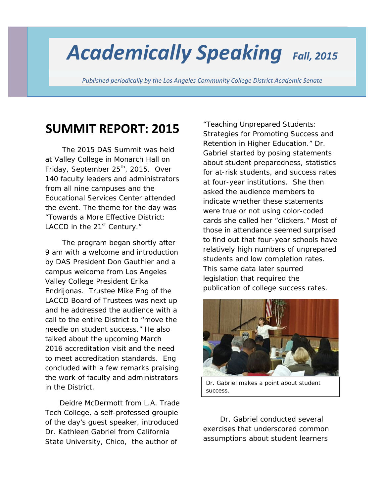# *Academically Speaking Fall, <sup>2015</sup>*

*Published periodically by the Los Angeles Community College District Academic Senate*

## **SUMMIT REPORT: 2015**

 The 2015 DAS Summit was held at Valley College in Monarch Hall on Friday, September 25<sup>th</sup>, 2015. Over 140 faculty leaders and administrators from all nine campuses and the Educational Services Center attended the event. The theme for the day was "Towards a More Effective District: LACCD in the  $21<sup>st</sup>$  Century."

 The program began shortly after 9 am with a welcome and introduction by DAS President Don Gauthier and a campus welcome from Los Angeles Valley College President Erika Endrijonas. Trustee Mike Eng of the LACCD Board of Trustees was next up and he addressed the audience with a call to the entire District to "move the needle on student success." He also talked about the upcoming March 2016 accreditation visit and the need to meet accreditation standards. Eng concluded with a few remarks praising the work of faculty and administrators in the District.

 Deidre McDermott from L.A. Trade Tech College, a self-professed groupie of the day's guest speaker, introduced Dr. Kathleen Gabriel from California State University, Chico, the author of

"*Teaching Unprepared Students: Strategies for Promoting Success and Retention in Higher Education.*" Dr. Gabriel started by posing statements about student preparedness, statistics for at-risk students, and success rates at four-year institutions. She then asked the audience members to indicate whether these statements were true or not using color-coded cards she called her "clickers." Most of those in attendance seemed surprised to find out that four-year schools have relatively high numbers of unprepared students and low completion rates. This same data later spurred legislation that required the publication of college success rates.



*Dr. Gabriel makes a point about student success.*

 Dr. Gabriel conducted several exercises that underscored common assumptions about student learners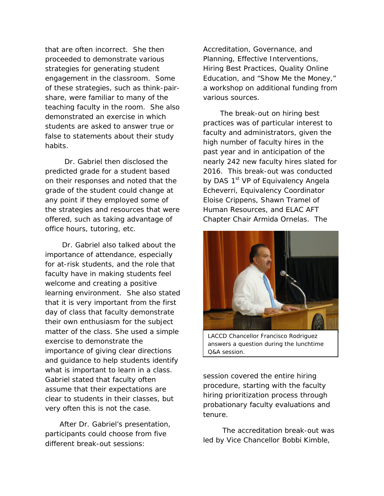that are often incorrect. She then proceeded to demonstrate various strategies for generating student engagement in the classroom. Some of these strategies, such as think-pairshare, were familiar to many of the teaching faculty in the room. She also demonstrated an exercise in which students are asked to answer true or false to statements about their study habits.

 Dr. Gabriel then disclosed the predicted grade for a student based on their responses and noted that the grade of the student could change at any point if they employed some of the strategies and resources that were offered, such as taking advantage of office hours, tutoring, etc.

 Dr. Gabriel also talked about the importance of attendance, especially for at-risk students, and the role that faculty have in making students feel welcome and creating a positive learning environment. She also stated that it is very important from the first day of class that faculty demonstrate their own enthusiasm for the subject matter of the class. She used a simple exercise to demonstrate the importance of giving clear directions and guidance to help students identify what is important to learn in a class. Gabriel stated that faculty often assume that their expectations are clear to students in their classes, but very often this is not the case.

 After Dr. Gabriel's presentation, participants could choose from five different break-out sessions:

Accreditation, Governance, and Planning, Effective Interventions, Hiring Best Practices, Quality Online Education, and "Show Me the Money," a workshop on additional funding from various sources.

 The break-out on hiring best practices was of particular interest to faculty and administrators, given the high number of faculty hires in the past year and in anticipation of the nearly 242 new faculty hires slated for 2016. This break-out was conducted by DAS 1<sup>st</sup> VP of Equivalency Angela Echeverri, Equivalency Coordinator Eloise Crippens, Shawn Tramel of Human Resources, and ELAC AFT Chapter Chair Armida Ornelas. The



*LACCD Chancellor Francisco Rodriguez answers a question during the lunchtime Q&A session.*

session covered the entire hiring procedure, starting with the faculty hiring prioritization process through probationary faculty evaluations and tenure.

 The accreditation break-out was led by Vice Chancellor Bobbi Kimble,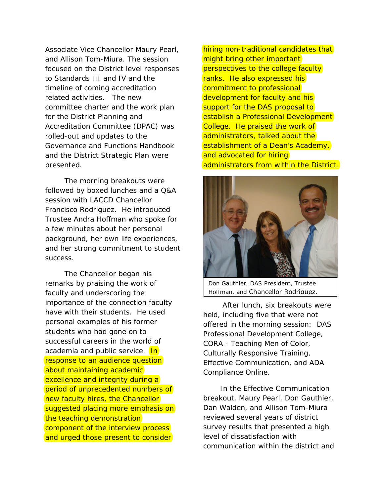Associate Vice Chancellor Maury Pearl, and Allison Tom-Miura. The session focused on the District level responses to Standards III and IV and the timeline of coming accreditation related activities. The new committee charter and the work plan for the District Planning and Accreditation Committee (DPAC) was rolled-out and updates to the Governance and Functions Handbook and the District Strategic Plan were presented.

 The morning breakouts were followed by boxed lunches and a Q&A session with LACCD Chancellor Francisco Rodriguez. He introduced Trustee Andra Hoffman who spoke for a few minutes about her personal background, her own life experiences, and her strong commitment to student success.

 The Chancellor began his remarks by praising the work of faculty and underscoring the importance of the connection faculty have with their students. He used personal examples of his former students who had gone on to successful careers in the world of academia and public service. **In** response to an audience question about maintaining academic excellence and integrity during a period of unprecedented numbers of new faculty hires, the Chancellor suggested placing more emphasis on the teaching demonstration component of the interview process and urged those present to consider

hiring non-traditional candidates that might bring other important perspectives to the college faculty ranks. He also expressed his commitment to professional development for faculty and his support for the DAS proposal to establish a Professional Development College. He praised the work of administrators, talked about the establishment of a Dean's Academy, and advocated for hiring administrators from within the District.



*Don Gauthier, DAS President, Trustee Hoffman, and Chancellor Rodriguez.* 

 After lunch, six breakouts were held, including five that were not offered in the morning session: DAS Professional Development College, CORA - Teaching Men of Color, Culturally Responsive Training, Effective Communication, and ADA Compliance Online.

 In the Effective Communication breakout, Maury Pearl, Don Gauthier, Dan Walden, and Allison Tom-Miura reviewed several years of district survey results that presented a high level of dissatisfaction with communication within the district and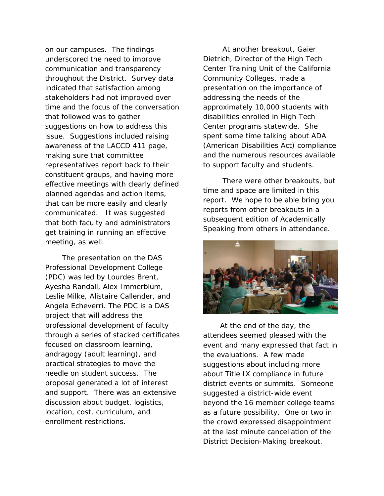on our campuses. The findings underscored the need to improve communication and transparency throughout the District. Survey data indicated that satisfaction among stakeholders had not improved over time and the focus of the conversation that followed was to gather suggestions on how to address this issue. Suggestions included raising awareness of the LACCD 411 page, making sure that committee representatives report back to their constituent groups, and having more effective meetings with clearly defined planned agendas and action items, that can be more easily and clearly communicated. It was suggested that both faculty and administrators get training in running an effective meeting, as well.

 The presentation on the DAS Professional Development College (PDC) was led by Lourdes Brent, Ayesha Randall, Alex Immerblum, Leslie Milke, Alistaire Callender, and Angela Echeverri. The PDC is a DAS project that will address the professional development of faculty through a series of stacked certificates focused on classroom learning, andragogy (adult learning), and practical strategies to move the needle on student success. The proposal generated a lot of interest and support. There was an extensive discussion about budget, logistics, location, cost, curriculum, and enrollment restrictions.

 At another breakout, Gaier Dietrich, Director of the High Tech Center Training Unit of the California Community Colleges, made a presentation on the importance of addressing the needs of the approximately 10,000 students with disabilities enrolled in High Tech Center programs statewide. She spent some time talking about ADA (American Disabilities Act) compliance and the numerous resources available to support faculty and students.

 There were other breakouts, but time and space are limited in this report. We hope to be able bring you reports from other breakouts in a subsequent edition of *Academically Speaking* from others in attendance.



 At the end of the day, the attendees seemed pleased with the event and many expressed that fact in the evaluations. A few made suggestions about including more about Title IX compliance in future district events or summits. Someone suggested a district-wide event beyond the 16 member college teams as a future possibility. One or two in the crowd expressed disappointment at the last minute cancellation of the District Decision-Making breakout.